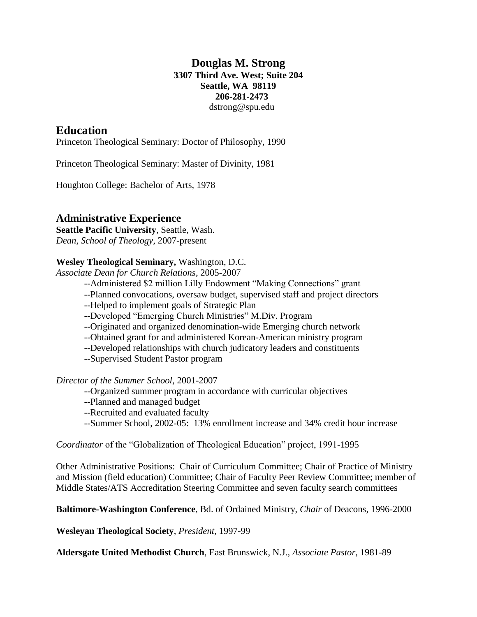## **Douglas M. Strong 3307 Third Ave. West; Suite 204 Seattle, WA 98119 206-281-2473** dstrong@spu.edu

## **Education**

Princeton Theological Seminary: Doctor of Philosophy, 1990

Princeton Theological Seminary: Master of Divinity, 1981

Houghton College: Bachelor of Arts, 1978

#### **Administrative Experience**

**Seattle Pacific University**, Seattle, Wash. *Dean, School of Theology*, 2007-present

#### **Wesley Theological Seminary,** Washington, D.C.

*Associate Dean for Church Relations*, 2005-2007

- --Administered \$2 million Lilly Endowment "Making Connections" grant
- --Planned convocations, oversaw budget, supervised staff and project directors
- --Helped to implement goals of Strategic Plan
- --Developed "Emerging Church Ministries" M.Div. Program
- --Originated and organized denomination-wide Emerging church network
- --Obtained grant for and administered Korean-American ministry program
- --Developed relationships with church judicatory leaders and constituents
- --Supervised Student Pastor program

#### *Director of the Summer School*, 2001-2007

- --Organized summer program in accordance with curricular objectives
- --Planned and managed budget
- --Recruited and evaluated faculty
- --Summer School, 2002-05: 13% enrollment increase and 34% credit hour increase

*Coordinator* of the "Globalization of Theological Education" project, 1991-1995

Other Administrative Positions: Chair of Curriculum Committee; Chair of Practice of Ministry and Mission (field education) Committee; Chair of Faculty Peer Review Committee; member of Middle States/ATS Accreditation Steering Committee and seven faculty search committees

**Baltimore-Washington Conference**, Bd. of Ordained Ministry, *Chair* of Deacons, 1996-2000

**Wesleyan Theological Society**, *President*, 1997-99

**Aldersgate United Methodist Church**, East Brunswick, N.J., *Associate Pastor*, 1981-89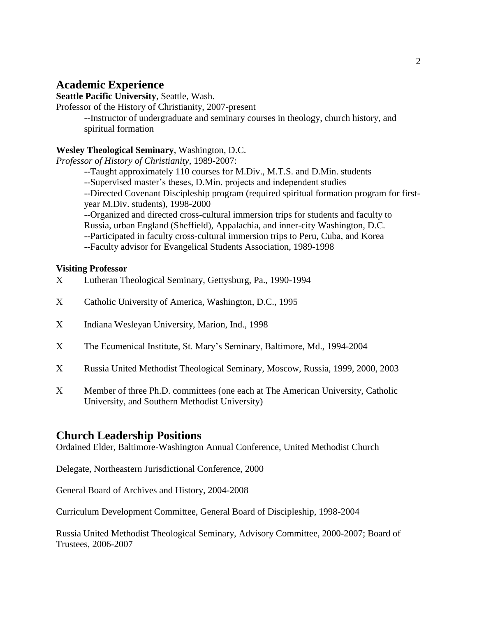# **Academic Experience**

**Seattle Pacific University**, Seattle, Wash.

Professor of the History of Christianity, 2007-present

--Instructor of undergraduate and seminary courses in theology, church history, and spiritual formation

#### **Wesley Theological Seminary**, Washington, D.C.

*Professor of History of Christianity*, 1989-2007:

--Taught approximately 110 courses for M.Div., M.T.S. and D.Min. students

--Supervised master's theses, D.Min. projects and independent studies

--Directed Covenant Discipleship program (required spiritual formation program for firstyear M.Div. students), 1998-2000

--Organized and directed cross-cultural immersion trips for students and faculty to Russia, urban England (Sheffield), Appalachia, and inner-city Washington, D.C.

--Participated in faculty cross-cultural immersion trips to Peru, Cuba, and Korea

--Faculty advisor for Evangelical Students Association, 1989-1998

#### **Visiting Professor**

- Lutheran Theological Seminary, Gettysburg, Pa., 1990-1994
- Catholic University of America, Washington, D.C., 1995
- Indiana Wesleyan University, Marion, Ind., 1998
- The Ecumenical Institute, St. Mary's Seminary, Baltimore, Md., 1994-2004
- Russia United Methodist Theological Seminary, Moscow, Russia, 1999, 2000, 2003
- Member of three Ph.D. committees (one each at The American University, Catholic University, and Southern Methodist University)

## **Church Leadership Positions**

Ordained Elder, Baltimore-Washington Annual Conference, United Methodist Church

Delegate, Northeastern Jurisdictional Conference, 2000

General Board of Archives and History, 2004-2008

Curriculum Development Committee, General Board of Discipleship, 1998-2004

Russia United Methodist Theological Seminary, Advisory Committee, 2000-2007; Board of Trustees, 2006-2007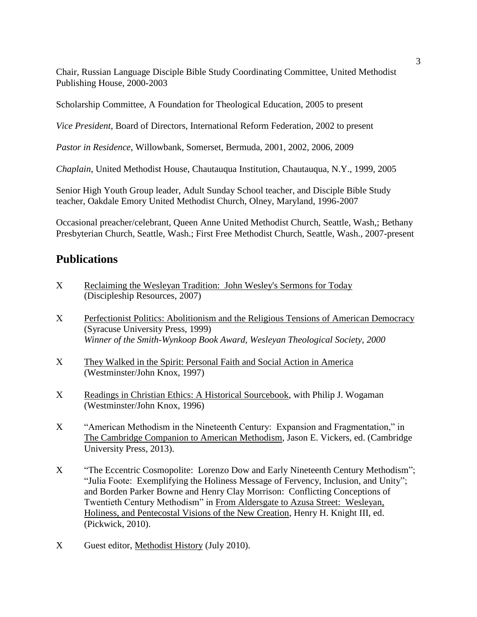Chair, Russian Language Disciple Bible Study Coordinating Committee, United Methodist Publishing House, 2000-2003

Scholarship Committee, A Foundation for Theological Education, 2005 to present

*Vice President*, Board of Directors, International Reform Federation, 2002 to present

*Pastor in Residence*, Willowbank, Somerset, Bermuda, 2001, 2002, 2006, 2009

*Chaplain*, United Methodist House, Chautauqua Institution, Chautauqua, N.Y., 1999, 2005

Senior High Youth Group leader, Adult Sunday School teacher, and Disciple Bible Study teacher, Oakdale Emory United Methodist Church, Olney, Maryland, 1996-2007

Occasional preacher/celebrant, Queen Anne United Methodist Church, Seattle, Wash,; Bethany Presbyterian Church, Seattle, Wash.; First Free Methodist Church, Seattle, Wash., 2007-present

## **Publications**

- Reclaiming the Wesleyan Tradition: John Wesley's Sermons for Today (Discipleship Resources, 2007)
- Perfectionist Politics: Abolitionism and the Religious Tensions of American Democracy (Syracuse University Press, 1999) *Winner of the Smith-Wynkoop Book Award, Wesleyan Theological Society, 2000*
- They Walked in the Spirit: Personal Faith and Social Action in America (Westminster/John Knox, 1997)
- Readings in Christian Ethics: A Historical Sourcebook, with Philip J. Wogaman (Westminster/John Knox, 1996)
- X "American Methodism in the Nineteenth Century: Expansion and Fragmentation," in The Cambridge Companion to American Methodism, Jason E. Vickers, ed. (Cambridge University Press, 2013).
- X "The Eccentric Cosmopolite: Lorenzo Dow and Early Nineteenth Century Methodism"; "Julia Foote: Exemplifying the Holiness Message of Fervency, Inclusion, and Unity"; and Borden Parker Bowne and Henry Clay Morrison: Conflicting Conceptions of Twentieth Century Methodism" in From Aldersgate to Azusa Street: Wesleyan, Holiness, and Pentecostal Visions of the New Creation, Henry H. Knight III, ed. (Pickwick, 2010).
- X Guest editor, Methodist History (July 2010).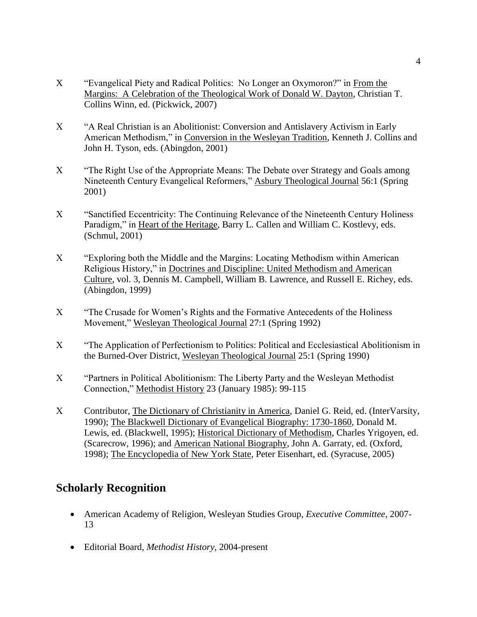- X "Evangelical Piety and Radical Politics: No Longer an Oxymoron?" in From the Margins: A Celebration of the Theological Work of Donald W. Dayton, Christian T. Collins Winn, ed. (Pickwick, 2007)
- "A Real Christian is an Abolitionist: Conversion and Antislavery Activism in Early American Methodism," in Conversion in the Wesleyan Tradition, Kenneth J. Collins and John H. Tyson, eds. (Abingdon, 2001)
- X "The Right Use of the Appropriate Means: The Debate over Strategy and Goals among Nineteenth Century Evangelical Reformers," Asbury Theological Journal 56:1 (Spring 2001)
- "Sanctified Eccentricity: The Continuing Relevance of the Nineteenth Century Holiness Paradigm," in Heart of the Heritage, Barry L. Callen and William C. Kostlevy, eds. (Schmul, 2001)
- "Exploring both the Middle and the Margins: Locating Methodism within American Religious History," in Doctrines and Discipline: United Methodism and American Culture, vol. 3, Dennis M. Campbell, William B. Lawrence, and Russell E. Richey, eds. (Abingdon, 1999)
- "The Crusade for Women's Rights and the Formative Antecedents of the Holiness Movement," Wesleyan Theological Journal 27:1 (Spring 1992)
- "The Application of Perfectionism to Politics: Political and Ecclesiastical Abolitionism in the Burned-Over District, Wesleyan Theological Journal 25:1 (Spring 1990)
- "Partners in Political Abolitionism: The Liberty Party and the Wesleyan Methodist Connection," Methodist History 23 (January 1985): 99-115
- Contributor, The Dictionary of Christianity in America, Daniel G. Reid, ed. (InterVarsity, 1990); The Blackwell Dictionary of Evangelical Biography: 1730-1860, Donald M. Lewis, ed. (Blackwell, 1995); Historical Dictionary of Methodism, Charles Yrigoyen, ed. (Scarecrow, 1996); and American National Biography, John A. Garraty, ed. (Oxford, 1998); The Encyclopedia of New York State, Peter Eisenhart, ed. (Syracuse, 2005)

# **Scholarly Recognition**

- American Academy of Religion, Wesleyan Studies Group, *Executive Committee*, 2007- 13
- Editorial Board, *Methodist History,* 2004-present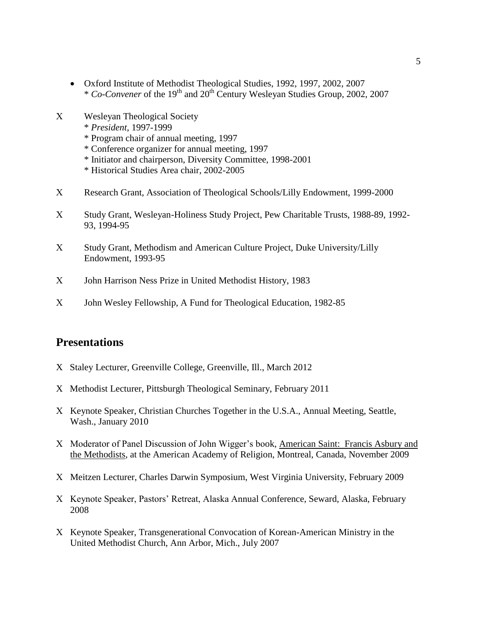- Oxford Institute of Methodist Theological Studies, 1992, 1997, 2002, 2007 \* *Co-Convener* of the 19th and 20th Century Wesleyan Studies Group, 2002, 2007
- Wesleyan Theological Society
	- \* *President*, 1997-1999
	- \* Program chair of annual meeting, 1997
	- \* Conference organizer for annual meeting, 1997
	- \* Initiator and chairperson, Diversity Committee, 1998-2001
	- \* Historical Studies Area chair, 2002-2005
- Research Grant, Association of Theological Schools/Lilly Endowment, 1999-2000
- Study Grant, Wesleyan-Holiness Study Project, Pew Charitable Trusts, 1988-89, 1992- 93, 1994-95
- Study Grant, Methodism and American Culture Project, Duke University/Lilly Endowment, 1993-95
- John Harrison Ness Prize in United Methodist History, 1983
- John Wesley Fellowship, A Fund for Theological Education, 1982-85

## **Presentations**

- X Staley Lecturer, Greenville College, Greenville, Ill., March 2012
- X Methodist Lecturer, Pittsburgh Theological Seminary, February 2011
- Keynote Speaker, Christian Churches Together in the U.S.A., Annual Meeting, Seattle, Wash., January 2010
- Moderator of Panel Discussion of John Wigger's book, American Saint: Francis Asbury and the Methodists, at the American Academy of Religion, Montreal, Canada, November 2009
- Meitzen Lecturer, Charles Darwin Symposium, West Virginia University, February 2009
- Keynote Speaker, Pastors' Retreat, Alaska Annual Conference, Seward, Alaska, February 2008
- Keynote Speaker, Transgenerational Convocation of Korean-American Ministry in the United Methodist Church, Ann Arbor, Mich., July 2007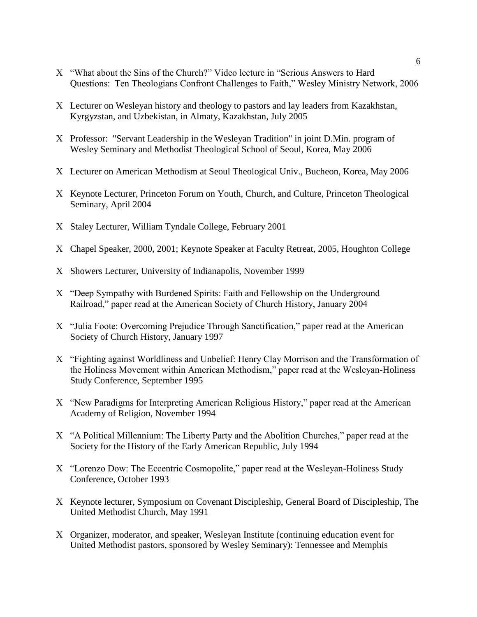- X "What about the Sins of the Church?" Video lecture in "Serious Answers to Hard Questions: Ten Theologians Confront Challenges to Faith," Wesley Ministry Network, 2006
- Lecturer on Wesleyan history and theology to pastors and lay leaders from Kazakhstan, Kyrgyzstan, and Uzbekistan, in Almaty, Kazakhstan, July 2005
- Professor: "Servant Leadership in the Wesleyan Tradition" in joint D.Min. program of Wesley Seminary and Methodist Theological School of Seoul, Korea, May 2006
- Lecturer on American Methodism at Seoul Theological Univ., Bucheon, Korea, May 2006
- Keynote Lecturer, Princeton Forum on Youth, Church, and Culture, Princeton Theological Seminary, April 2004
- X Staley Lecturer, William Tyndale College, February 2001
- Chapel Speaker, 2000, 2001; Keynote Speaker at Faculty Retreat, 2005, Houghton College
- Showers Lecturer, University of Indianapolis, November 1999
- "Deep Sympathy with Burdened Spirits: Faith and Fellowship on the Underground Railroad," paper read at the American Society of Church History, January 2004
- X "Julia Foote: Overcoming Prejudice Through Sanctification," paper read at the American Society of Church History, January 1997
- "Fighting against Worldliness and Unbelief: Henry Clay Morrison and the Transformation of the Holiness Movement within American Methodism," paper read at the Wesleyan-Holiness Study Conference, September 1995
- X "New Paradigms for Interpreting American Religious History," paper read at the American Academy of Religion, November 1994
- "A Political Millennium: The Liberty Party and the Abolition Churches," paper read at the Society for the History of the Early American Republic, July 1994
- X "Lorenzo Dow: The Eccentric Cosmopolite," paper read at the Wesleyan-Holiness Study Conference, October 1993
- Keynote lecturer, Symposium on Covenant Discipleship, General Board of Discipleship, The United Methodist Church, May 1991
- Organizer, moderator, and speaker, Wesleyan Institute (continuing education event for United Methodist pastors, sponsored by Wesley Seminary): Tennessee and Memphis